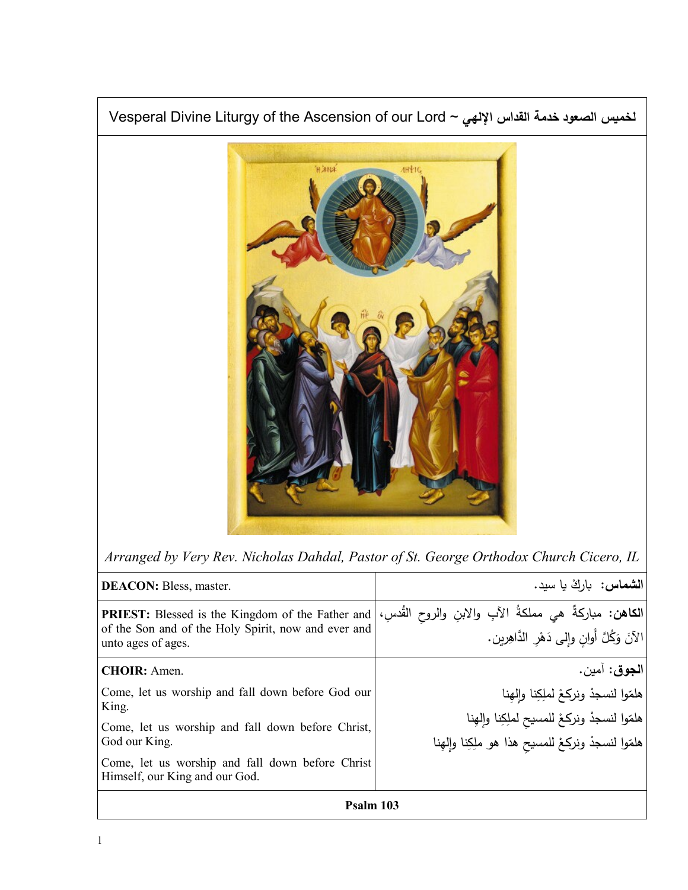

*Arranged by Very Rev. Nicholas Dahdal, Pastor of St. George Orthodox Church Cicero, IL*

| <b>DEACON:</b> Bless, master.                                                                                                        | <b>الشماس:</b> بارك يا سيد.                                                                                       |
|--------------------------------------------------------------------------------------------------------------------------------------|-------------------------------------------------------------------------------------------------------------------|
| <b>PRIEST:</b> Blessed is the Kingdom of the Father and<br>of the Son and of the Holy Spirit, now and ever and<br>unto ages of ages. | ا <b>لكاهن:</b> مباركةٌ هي مملكةُ الآبِ والابنِ والروح القُدسِ،<br> الآنَ وَكُلَّ أَوانِ وإلى دَهْرِ الدَّاهِرين. |
| <b>CHOIR:</b> Amen.                                                                                                                  | ا <b>لجوق</b> : آمين.                                                                                             |
| Come, let us worship and fall down before God our<br>King.                                                                           | هلمّوا لنسجدْ ونركعْ لملِكِنا وإلهِنا                                                                             |
| Come, let us worship and fall down before Christ,                                                                                    | هلمّوا لنسجدْ ونركعْ للمسيح لملِكِنا وإلهِنا                                                                      |
| God our King.                                                                                                                        | هلمّوا لنسجدْ ونركعْ للمسيح هذا هو ملِكِنا وإِلهِنا                                                               |
| Come, let us worship and fall down before Christ<br>Himself, our King and our God.                                                   |                                                                                                                   |
| Psalm 103                                                                                                                            |                                                                                                                   |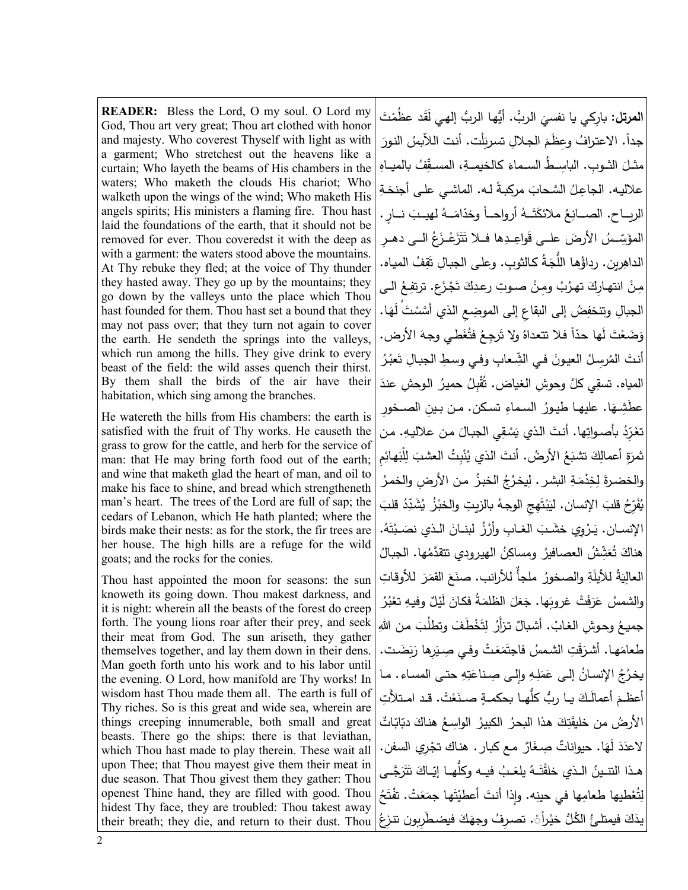**READER:** Bless the Lord, O my soul. O Lord my God, Thou art very great; Thou art clothed with honor and majesty. Who coverest Thyself with light as with a garment; Who stretchest out the heavens like a curtain; Who layeth the beams of His chambers in the waters; Who maketh the clouds His chariot; Who walketh upon the wings of the wind; Who maketh His angels spirits; His ministers a flaming fire. Thou hast laid the foundations of the earth, that it should not be removed for ever. Thou coveredst it with the deep as with a garment: the waters stood above the mountains. At Thy rebuke they fled; at the voice of Thy thunder they hasted away. They go up by the mountains; they go down by the valleys unto the place which Thou hast founded for them. Thou hast set a bound that they may not pass over; that they turn not again to cover the earth. He sendeth the springs into the valleys, which run among the hills. They give drink to every beast of the field: the wild asses quench their thirst. By them shall the birds of the air have their habitation, which sing among the branches.

He watereth the hills from His chambers: the earth is satisfied with the fruit of Thy works. He causeth the grass to grow for the cattle, and herb for the service of man: that He may bring forth food out of the earth; and wine that maketh glad the heart of man, and oil to make his face to shine, and bread which strengtheneth man's heart. The trees of the Lord are full of sap; the cedars of Lebanon, which He hath planted; where the birds make their nests: as for the stork, the fir trees are her house. The high hills are a refuge for the wild goats; and the rocks for the conies.

Thou hast appointed the moon for seasons: the sun knoweth its going down. Thou makest darkness, and it is night: wherein all the beasts of the forest do creep forth. The young lions roar after their prey, and seek their meat from God. The sun ariseth, they gather themselves together, and lay them down in their dens. Man goeth forth unto his work and to his labor until the evening. O Lord, how manifold are Thy works! In wisdom hast Thou made them all. The earth is full of Thy riches. So is this great and wide sea, wherein are things creeping innumerable, both small and great beasts. There go the ships: there is that leviathan, which Thou hast made to play therein. These wait all upon Thee; that Thou mayest give them their meat in due season. That Thou givest them they gather: Thou openest Thine hand, they are filled with good. Thou hidest Thy face, they are troubled: Thou takest away their breath; they die, and return to their dust. Thou

ا**لمرتل:** بارِكي يا نفسيَ الربُّ. أَيُّها الربُّ إلهي لَقَد عظَمْتَ<br>-جداً. الاعترافُ وعِظَمَ الجلالِ تسربَلْت. أنت اللاّبسُ النورَ مثــلَ الشـوبِ. الباسِـــطُ الســماءَ كالـخيمــةِ، المســقِّفُ بالميــاهِ علاليه. الجاعِلُ السَّحابَ مركبةً لـه. الماشي على أجنحَةِ الريــاح. الصـــانِعُ ملائكَتَــهُ أرواحــاً وخدّامَــهُ لهيــبَ نــارٍ . | ِ المؤ ــــ َ ׇ֖֖֖֖֖֖֖֖֖֖֖֖֖֖ׅ֖ׅ֖֚֚֚֚֚֚֚֚֚֚֚֚֚֚֚֚֓֞<br>֧֪֪֪֪֪֪֪֪֪֜֝֩֩ يِّـــسُ الأرضَ علــى قَواعِــدِها فــلا تَتَزَعْــزَعُ غُ الـــى دهــرِ الداهِرين. رداؤُها اللُّجَةُ كالثوبِ. وعلى الجبالِ تَقِفُ المياه. | مِنْ انتهارِكَ تهرُبُ ومِنْ صـوتِ رعدِكَ تَجْزَعِ. ترتفِعُ الـى| الجبالِ وتنخفِضُ إلى البقاعِ إلى الموضِعِ الذي أَسَّسْتَ لَهَا. | َ وَضَعْتَ لَها حدّاً فلا تتعداهُ ولا تَرجِعُ فتُغَطي وجهَ الأرض. | أنتَ المُرسِلُ العيونَ في الشِّعابِ وفي وسطِ الجبالِ تَعبُرُ المياه. تسقِي كلَّ وحوشِ الغياض. تُقْبِلُ حميرُ الوحشِ عندَ عطَشِهَا. عليها طيورُ السماءِ تسكن. من بـينِ الصـخورِ ـ تغَرِّدُ بأصـواتِها. أنتَ الذي يَسْقِي الجبالَ من علاليهِ. من | ْ ثمرَةِ أعمالِكَ تشبَعُ الأرضُ. أنتَ الذي يُنْبِتُ العشبَ لِلْبَهائِمِ والخضرةَ لِخِدْمَةِ البشر . لِيخرُجُ الخبزُ من الأرضِ والخمرُ **ٔ** َ يُفَرِّحُ قلبَ الإِنسانِ. ليَبْتَهِجِ الوجهُ بالزيتِ والخبْزُ يُشَدِّدُ قلبَ .<br>. .<br>. الإنســان. يَـرْوِي خشَـبَ الغــابِ وأرْزُ لبنــانَ الـذي نصَـبْتَهُ. | ٔ<br>ا هناكَ تَ ت َ مَشِّشُ العصافيرُ ومساكِنُ الهيرودي تتقدَّمُها. الجبالُ العالِيَةُ للأَيلَةِ والصخورُ ملجأٌ للأرانب. صنَعَ القمَرَ للأوقاتِ **ً** والشمس َ ُن عَرَفَتْ غروبَها. جَعَلَ الظلمَةُ فكانَ لَيْلٌ وفيهِ تعْبُرُ جميعُ وحوشِ الغابْ. أشبالٌ تزأَرُ لِتَخْطَفَ وتطلُبَ من اللهِ ـً<br>ً طعامَها. أشرَقَتِ الشمسُ فاجتَمَعَتْ وفي صِيَرِها رَبَضَت. | يخرُجُ الإنسانُ إلى عَمَلِهِ وإِلى صِناعَتِهِ حتى المساء. ما أعظـمَ أعمالَـكَ يــا ربُّ كلُّهـا بحكمــةٍ صــنَـعْ َ نَعْتْ. قـد امـتلأت الأرضُ من خليقَتِكَ هذا البحرُ الكبيرُ الواسِعُ هناكَ دبّابّاتٌ َ لاعدَدَ لَهَا. حيواناتٌ صِـغَارٌ مـع كبار . هناك تجْرِي السفن. <mark>﴿</mark> هــذا النتــينُ الــذي خلقْتَــهُ يلعَــبُ فيــه وكلَّهــا إيّــاكَ تَتَرَجَّــى | لِتُعْطيها طعامِها في حينِه. وإِذا أنتَ أعطيْتَها جمَعَتْ. تفْتَحُ ْ <u>ٌ</u> <u>:</u> يذَكَ فيمتلئُ الكُلُّ خيْراًنَ. تصرِفُ وجهَكَ فيضطَرِبون تنزِعُ ـ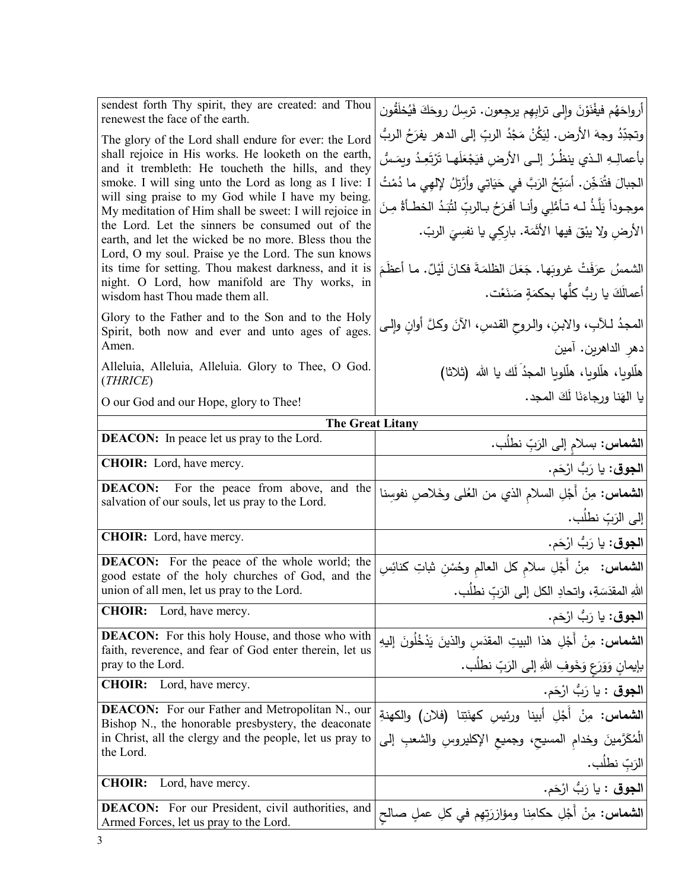| sendest forth Thy spirit, they are created: and Thou<br>renewest the face of the earth.                                                                      | ِ أَرواحَهُم فيفْنَوْنَ وإِلى ترابِهِم يرجِعون. ترسِلُ روحَكَ فَيُخلَقُون                                                                          |
|--------------------------------------------------------------------------------------------------------------------------------------------------------------|----------------------------------------------------------------------------------------------------------------------------------------------------|
| The glory of the Lord shall endure for ever: the Lord                                                                                                        | وتجدِّدُ وجهَ الأرض. لِيَكُنْ مَجْدُ الربِّ إلى الدهر يفرَحُ الربُّ                                                                                |
| shall rejoice in His works. He looketh on the earth,<br>and it trembleth: He toucheth the hills, and they                                                    | بأعمالِـهِ الـذي ينظُـرُ ۖ إلــى الأرض فيَجْعَلَهـا تَرْتَعِـدُ ويِصَسُّ                                                                           |
| smoke. I will sing unto the Lord as long as I live: I                                                                                                        | الجبالَ فتُدَخِّن. أَسَبِّحُ الزَبَّ في حَيَاتِي وأَرَّتِلُ لِإلهِي ما دُمْتُ                                                                      |
| will sing praise to my God while I have my being.<br>My meditation of Him shall be sweet: I will rejoice in                                                  | موجـوداً يَلَّذُ لــه تـأَمُّلِي وأنــا أفـرَحُ بـالربِّ لثُبَـدُ الخطـأةُ مِـنَ                                                                   |
| the Lord. Let the sinners be consumed out of the<br>earth, and let the wicked be no more. Bless thou the                                                     | الأرضِ ولا يبْقَ فيها الأثْمَة. باركِي يا نفسِيَ الربّ.                                                                                            |
| Lord, O my soul. Praise ye the Lord. The sun knows<br>its time for setting. Thou makest darkness, and it is<br>night. O Lord, how manifold are Thy works, in | الشمسُ عرَفَتْ غروبَها. جَعَلَ الظلمَةَ فكانَ لَيْلٌ. ما أعظَمَ                                                                                    |
| wisdom hast Thou made them all.                                                                                                                              | أعمالَكَ يا رِبُّ كلَّها بحكمَةٍ صَنَعْت.                                                                                                          |
| Glory to the Father and to the Son and to the Holy<br>Spirit, both now and ever and unto ages of ages.                                                       | المحدُ لـلأبِ، والابنِ، والـروح القدسِ، الآنَ وكـلَّ أوانِ وإلـي                                                                                   |
| Amen.                                                                                                                                                        | دهر الداهرين. آمين                                                                                                                                 |
| Alleluia, Alleluia, Alleluia. Glory to Thee, O God.<br>(THRICE)                                                                                              | هلَّلويا، هلَّلويا، هلَّلويا المجدِّ لَك يا الله (ثلاثا)                                                                                           |
| O our God and our Hope, glory to Thee!                                                                                                                       | يا الهَنا ورجاءَنَا لَكَ المجد.                                                                                                                    |
| <b>The Great Litany</b>                                                                                                                                      |                                                                                                                                                    |
| <b>DEACON:</b> In peace let us pray to the Lord.                                                                                                             | ا <b>لشماس:</b> بسلام إلى الزَبِّ نطلَب.                                                                                                           |
|                                                                                                                                                              |                                                                                                                                                    |
| <b>CHOIR:</b> Lord, have mercy.                                                                                                                              |                                                                                                                                                    |
| <b>DEACON:</b><br>For the peace from above, and the                                                                                                          | ا <b>لشماس</b> : مِنْ أَجْلِ السلام الذي من العُلى وخَلاصِ نفوسِنا                                                                                 |
| salvation of our souls, let us pray to the Lord.                                                                                                             |                                                                                                                                                    |
| CHOIR: Lord, have mercy.                                                                                                                                     |                                                                                                                                                    |
| <b>DEACON:</b> For the peace of the whole world; the                                                                                                         | ا <b>لشماس:</b> مِنْ أَجْلِ سلام كل العالم وحُسْنِ شاتِ كنائِسِ                                                                                    |
| good estate of the holy churches of God, and the<br>union of all men, let us pray to the Lord.                                                               | ا <b>لجوق</b> : يا رَبُّ ارْحَم.<br> إلى الرَبِّ نطلُب.<br> ا <b>لجوق</b> : يا رَبُّ ارْحَم.<br> اللهِ المقدَسَةِ، واتحادِ الكل إلى الرَبِّ نطلُب. |
| <b>CHOIR:</b><br>Lord, have mercy.                                                                                                                           |                                                                                                                                                    |
| <b>DEACON:</b> For this holy House, and those who with                                                                                                       | ا <b>لشماس:</b> مِنْ أَجْلِ هذا البيتِ المقدَس والذينَ يَدْخُلُونَ إليهِ                                                                           |
| faith, reverence, and fear of God enter therein, let us<br>pray to the Lord.                                                                                 | ا <b>لجوق</b> : يا رَبُّ ارْحَم.                                                                                                                   |
| <b>CHOIR:</b><br>Lord, have mercy.                                                                                                                           | بإيمانِ وَوَرَعٍ وَخَوفِ اللهِ إلى الرَبِّ نطلُب.<br> ا <b>لجوق</b> : يا رَبُّ ارْحَم.                                                             |
| <b>DEACON:</b> For our Father and Metropolitan N., our                                                                                                       |                                                                                                                                                    |
| Bishop N., the honorable presbystery, the deaconate<br>in Christ, all the clergy and the people, let us pray to                                              | ا <b>لشماس</b> : مِنْ أَجْلِ أبينا ورئيسِ كهنَتِنا (فلان) والكهنةِ                                                                                 |
| the Lord.                                                                                                                                                    | الْمُكَرَّمينَ وخدام المسيح، وجميع الإكليروسِ والشعبِ إلى                                                                                          |
| <b>CHOIR:</b><br>Lord, have mercy.                                                                                                                           | الرَبّ نطلَب.                                                                                                                                      |
| <b>DEACON:</b> For our President, civil authorities, and<br>Armed Forces, let us pray to the Lord.                                                           | ا <b>لجوق</b> : يا رَبُّ ارْحَم.<br>ا <b>لشماس</b> : مِنْ أَجْلِ حكامِنا ومؤازرَتِهِم في كلِ عملٍ صالح                                             |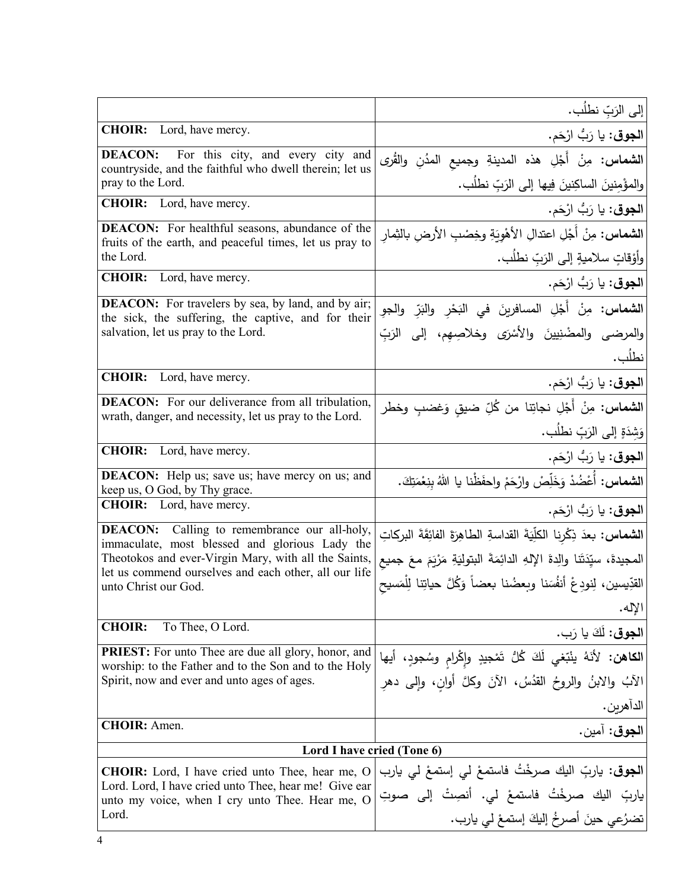|                                                                                                                     | إلى الرَبِّ نطلُب.                                                                                             |
|---------------------------------------------------------------------------------------------------------------------|----------------------------------------------------------------------------------------------------------------|
| CHOIR: Lord, have mercy.                                                                                            | ا <b>لجوق</b> : يا رَبُّ ارْحَم.                                                                               |
| For this city, and every city and<br><b>DEACON:</b><br>countryside, and the faithful who dwell therein; let us      | ا <b>لشماس</b> : مِنْ أَجْلِ هذه المدينةِ وجميع المدُنِ والقُرى                                                |
| pray to the Lord.                                                                                                   | والمؤْمِنينَ الساكِنينَ فِيها إلى الرَبِّ نطلُب.                                                               |
| <b>CHOIR:</b> Lord, have mercy.                                                                                     | ا <b>لجوق</b> : يا رَبُّ ارْحَم.                                                                               |
| <b>DEACON:</b> For healthful seasons, abundance of the<br>fruits of the earth, and peaceful times, let us pray to   | <b>الشماس:</b> مِنْ أَجْلِ اعتدالِ الأَهْوِيَةِ وخِصْبِ الأرضِ بالثِمارِ                                       |
| the Lord.                                                                                                           | وأَوْقَاتٍ سلاميةٍ إلى الرَبِّ نطلُب.                                                                          |
| <b>CHOIR:</b><br>Lord, have mercy.                                                                                  | ا <b>لجوق</b> : يا رَبُّ ارْحَم.                                                                               |
| <b>DEACON:</b> For travelers by sea, by land, and by air;<br>the sick, the suffering, the captive, and for their    | ا <b>لشماس:</b> مِنْ أَجْلِ المسافرينَ في النَحْرِ والنَرِّ والجوِ                                             |
| salvation, let us pray to the Lord.                                                                                 | والمرضى والمضْنِيينَ والأَسْرَى وخلاصِهِم، إلى الرَبِّ                                                         |
|                                                                                                                     | نطلُب.                                                                                                         |
| <b>CHOIR:</b><br>Lord, have mercy.                                                                                  | ا <b>لجوق</b> : يا رَبُّ ارْحَم.                                                                               |
| <b>DEACON:</b> For our deliverance from all tribulation,<br>wrath, danger, and necessity, let us pray to the Lord.  | <b>الشماس:</b> مِنْ أَجْلِ نجاتِنا من كُلِّ ضيقٍ وَغضبٍ وخطر                                                   |
|                                                                                                                     | وَشِدَةٍ إِلَى الرَبِّ نطلُب.                                                                                  |
| <b>CHOIR:</b><br>Lord, have mercy.                                                                                  | ا <b>لجوق</b> : يا رَبُّ ارْحَم.                                                                               |
| <b>DEACON:</b> Help us; save us; have mercy on us; and<br>keep us, O God, by Thy grace.                             | ا <b>لشماس:</b> أَعْضُدْ وَخَلِّصْ وارْحَمْ واحفَظْنا يا اللهُ بِنِعْمَتِكَ.                                   |
| <b>CHOIR:</b> Lord, have mercy.                                                                                     | ا <b>لجوق</b> : يا رَبُّ ارْحَم.                                                                               |
| <b>DEACON:</b> Calling to remembrance our all-holy,<br>immaculate, most blessed and glorious Lady the               | ا <b>لشماس:</b> بعدَ ذِكْرِنا الكلِّيَةَ القداسةِ الطاهِرَةَ الفائِقَةَ البركاتِ                               |
| Theotokos and ever-Virgin Mary, with all the Saints,<br>let us commend ourselves and each other, all our life       | المجيدةَ، سيِّدَتَنا والِدةَ الإِلهِ الدائِمَةَ البتوليَةِ مَرْيَمَ معَ جميع                                   |
| unto Christ our God.                                                                                                | القدِّيسين، لِنودِعْ أنفُسَنا وبعضُنا بعضاً وَكُلَّ حياتِنا للِّمَسيح                                          |
|                                                                                                                     | الإله.                                                                                                         |
| To Thee, O Lord.<br><b>CHOIR:</b>                                                                                   | الجوقي: لَكَ يا رَبِ.                                                                                          |
| <b>PRIEST:</b> For unto Thee are due all glory, honor, and<br>worship: to the Father and to the Son and to the Holy | ا <b>لكاهن:</b> لأنَهُ ينْبَغي لَكَ كُلُّ تَمْجيدٍ وإِكْرامِ وسُجودٍ، أيها                                     |
| Spirit, now and ever and unto ages of ages.                                                                         | الآبُ والابنُ والروحُ القدُسُ، الآنَ وكلَّ أوانِ، وإلى دهرِ                                                    |
| <b>CHOIR:</b> Amen.                                                                                                 | الداهرين.                                                                                                      |
|                                                                                                                     | ا <b>لجوق:</b> آمين.                                                                                           |
| Lord I have cried (Tone 6)                                                                                          |                                                                                                                |
| <b>CHOIR:</b> Lord, I have cried unto Thee, hear me, O<br>Lord. Lord, I have cried unto Thee, hear me! Give ear     | ا <b>لجوق</b> : ياربِّ اليك صرخْتُ فاستمعْ لي إستمعْ لي يارب<br>ياربِّ اليك صرخْتُ فاستمعْ لي. أنصِتْ إلى صوتِ |
| unto my voice, when I cry unto Thee. Hear me, O<br>Lord.                                                            | تضرُعي حينَ أصرخُ إليكَ إستمعْ لي يارب.                                                                        |
|                                                                                                                     |                                                                                                                |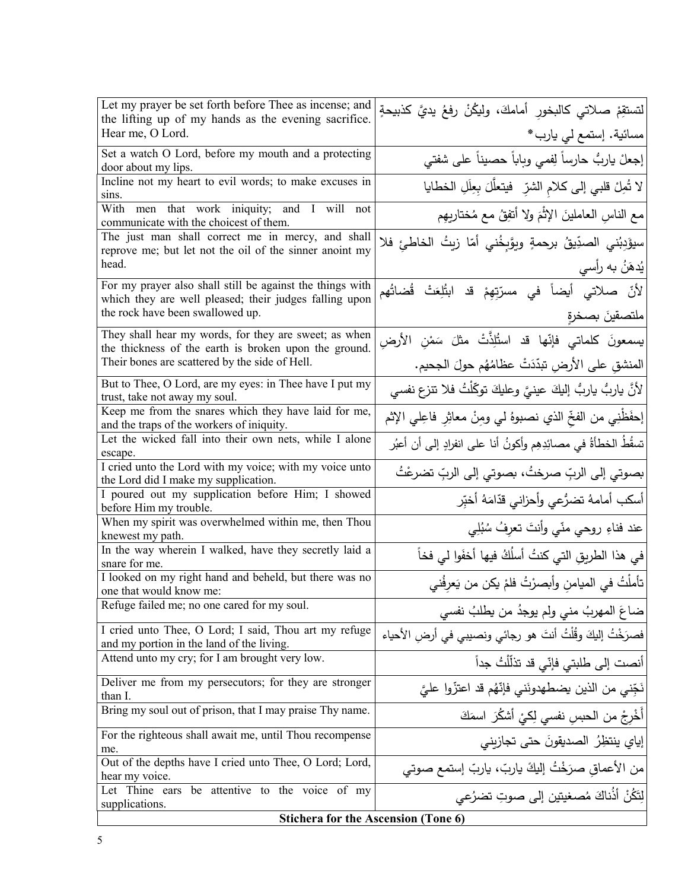| Let my prayer be set forth before Thee as incense; and                                                  | لتستقِمْ صلاتي كالبخورِ أمامكَ، وليكُنْ رفعُ يديَّ كذبيحةٍ       |
|---------------------------------------------------------------------------------------------------------|------------------------------------------------------------------|
| the lifting up of my hands as the evening sacrifice.                                                    |                                                                  |
| Hear me, O Lord.                                                                                        | مسائية. إستمع لي يارب*                                           |
| Set a watch O Lord, before my mouth and a protecting                                                    | إبعلْ ياربُ حارساً لِفمي وباباً حصيناً على شفتي                  |
| door about my lips.                                                                                     |                                                                  |
| Incline not my heart to evil words; to make excuses in<br>sins.                                         | لا تُصِلْ قلبي إلى كلامِ الشرِّ ۖ فيتعلَّلَ بِعِلَلِ الخطايا     |
| With men that work iniquity; and I will<br>not                                                          |                                                                  |
| communicate with the choicest of them.                                                                  | مع الناسِ العاملينَ الإثْمَ ولا أتفِقُ مع مُختاريهِم             |
| The just man shall correct me in mercy, and shall                                                       | سيؤَدِبُني الصدِّيقُ برحمةٍ ويوَّبِخُني أمّا زيتُ الخاطئِ فلا    |
| reprove me; but let not the oil of the sinner anoint my                                                 |                                                                  |
| head.                                                                                                   | يُدهَنُ به رأسي                                                  |
| For my prayer also shall still be against the things with                                               | لأنّ صلاتي أيضاً في مسرّتِهِمْ قد ابتُلِعَتْ قُضاتُهم            |
| which they are well pleased; their judges falling upon                                                  |                                                                  |
| the rock have been swallowed up.                                                                        | ملتصقين بصخرة                                                    |
| They shall hear my words, for they are sweet; as when                                                   | يسمعونَ كلماتي فإنّها قد استُلِذَّتْ مثلَ سَمْنِ الأرض <i>ِ</i>  |
| the thickness of the earth is broken upon the ground.<br>Their bones are scattered by the side of Hell. |                                                                  |
|                                                                                                         | المنشقِ على الأرضِ تبدّدَتْ عظامُهُم حولَ الجحيم.                |
| But to Thee, O Lord, are my eyes: in Thee have I put my<br>trust, take not away my soul.                | لأنَّ ياربُ ياربُ إليكَ عينيَّ وعليكَ توكَّلْتُ فلا تتزع نفسي    |
| Keep me from the snares which they have laid for me,                                                    | إحفَظْنِي من الفخِّ الذي نصبوهُ لي ومِنْ معاثِرِ فاعِلي الإثم    |
| and the traps of the workers of iniquity.<br>Let the wicked fall into their own nets, while I alone     |                                                                  |
| escape.                                                                                                 | تسقُطُ الخطأةُ في مصائِدِهِم وأكونُ أنا على انفرادٍ إلى أن أعبُر |
| I cried unto the Lord with my voice; with my voice unto                                                 |                                                                  |
| the Lord did I make my supplication.                                                                    | بصوتي إلى الربِّ صرختُ، بصوتي إلى الربِّ تضرعْتُ                 |
| I poured out my supplication before Him; I showed                                                       | أسكب أمامهُ تضرُّعي وأحزاني قدّامَهُ أخبِّر                      |
| before Him my trouble.                                                                                  |                                                                  |
| When my spirit was overwhelmed within me, then Thou                                                     | عند فناءِ روحي منّي وأنتَ تعرِفُ سُبُلِي                         |
| knewest my path.                                                                                        |                                                                  |
| In the way wherein I walked, have they secretly laid a<br>snare for me.                                 | في هذا الطريقِ التي كنتُ أسلُكُ فيها أخفَوا لي فخاً              |
| I looked on my right hand and beheld, but there was no                                                  |                                                                  |
| one that would know me:                                                                                 | تأملْتُ في الميامنِ وأبصرْتُ فلمْ يكن من يَعرِفُني               |
| Refuge failed me; no one cared for my soul.                                                             | ضاعَ المهربُ مني ولم يوجدُ من يطلبُ نفسي                         |
| I cried unto Thee, O Lord; I said, Thou art my refuge                                                   | فصرَخْتُ إليكَ وقُلْتُ أنتَ هو رجائي ونصيبي في أرضِ الأحياء      |
| and my portion in the land of the living.                                                               |                                                                  |
| Attend unto my cry; for I am brought very low.                                                          | أنصت إلى طلبتي فإنّي قد تذلّلْتُ جداً                            |
| Deliver me from my persecutors; for they are stronger                                                   | نَجِّني من الذين يضطهدونَني فإنَّهُم قد اعتزُّوا عليَّ           |
| than I.                                                                                                 |                                                                  |
| Bring my soul out of prison, that I may praise Thy name.                                                | أَخْرِجْ من الحبسِ نفسي لِكيْ أشكُرَ اسمَكَ                      |
| For the righteous shall await me, until Thou recompense<br>me.                                          | إياي ينتظِرُ الصديقونَ حتى تجازيني                               |
| Out of the depths have I cried unto Thee, O Lord; Lord,                                                 | من الأعماق صرَخْتُ إليكَ ياربّ، ياربّ إستمع صوتي                 |
| hear my voice.                                                                                          |                                                                  |
| Let Thine ears be attentive to the voice of my                                                          | لِتَكُنْ أَذُناكَ مُصغيتين إلى صوتِ تضرُعي                       |
| supplications.                                                                                          |                                                                  |
| <b>Stichera for the Ascension (Tone 6)</b>                                                              |                                                                  |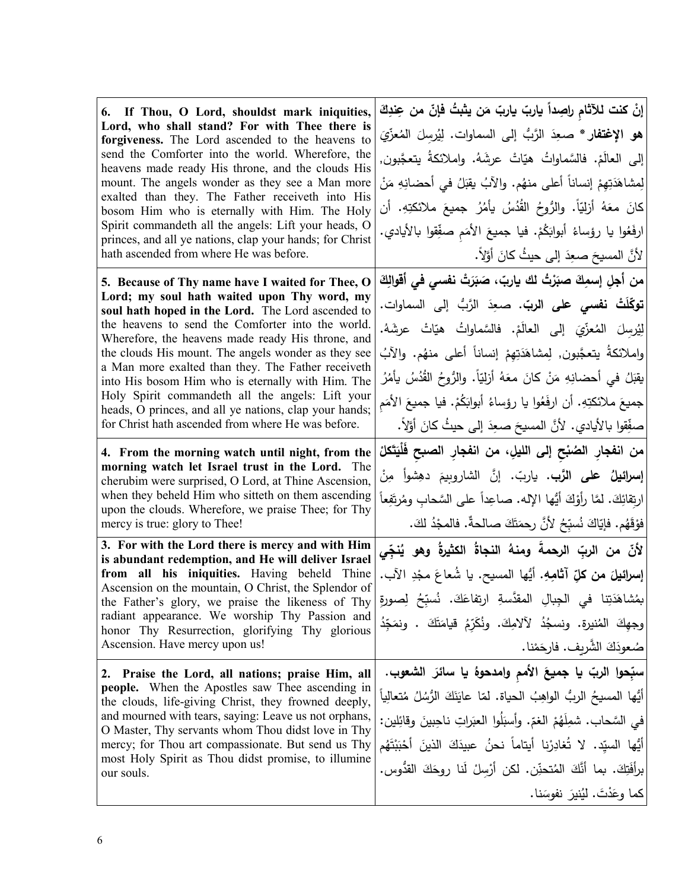| 6. If Thou, O Lord, shouldst mark iniquities,<br>Lord, who shall stand? For with Thee there is<br>forgiveness. The Lord ascended to the heavens to<br>send the Comforter into the world. Wherefore, the<br>heavens made ready His throne, and the clouds His<br>mount. The angels wonder as they see a Man more<br>exalted than they. The Father receiveth into His<br>bosom Him who is eternally with Him. The Holy<br>Spirit commandeth all the angels: Lift your heads, O<br>princes, and all ye nations, clap your hands; for Christ | إنْ كنت للآثام راصِداً ياربّ ياربّ مَن يثبتُ فإنّ من عِندِكَ<br>هو الإغتفار * صعِدَ الرَّبُّ إلى السماوات. لِيُرسِلَ المُعزِّيَ<br>إلى العالَمْ. فالسَّماواتُ هيّاتْ عرشَهُ. واملائكةُ يتعجَّبون,<br>لِمِشاهَدَتِهِمْ إنساناً أعلى منهُم. والآبُ يقبَلُ في أحضانِهِ مَنْ<br>كانَ معَهُ أَزِليّاً. والرُّوحُ القُدُسُ يأمُرُ جميعَ ملائكتِهِ. أن<br>ارفَعُوا يا رؤساءُ أبوابَكُمْ. فيا جميعَ الأُمَم صفِّقوا بالأيادي.     |
|------------------------------------------------------------------------------------------------------------------------------------------------------------------------------------------------------------------------------------------------------------------------------------------------------------------------------------------------------------------------------------------------------------------------------------------------------------------------------------------------------------------------------------------|---------------------------------------------------------------------------------------------------------------------------------------------------------------------------------------------------------------------------------------------------------------------------------------------------------------------------------------------------------------------------------------------------------------------------|
| hath ascended from where He was before.                                                                                                                                                                                                                                                                                                                                                                                                                                                                                                  | لأنَّ المسيحَ صعِدَ إلى حيثُ كانَ أوَّلاً.                                                                                                                                                                                                                                                                                                                                                                                |
| 5. Because of Thy name have I waited for Thee, O<br>Lord; my soul hath waited upon Thy word, my<br>soul hath hoped in the Lord. The Lord ascended to<br>the heavens to send the Comforter into the world.<br>Wherefore, the heavens made ready His throne, and<br>the clouds His mount. The angels wonder as they see<br>a Man more exalted than they. The Father receiveth<br>into His bosom Him who is eternally with Him. The<br>Holy Spirit commandeth all the angels: Lift your                                                     | من أجلِ إسمِكَ صبَرْتُ لك ياربّ، صَبَرَتْ نفسي في أقوالِكَ<br><b>توكّلَتْ نف<i>سى</i> على الربّ.</b> صعِدَ الرَّبُّ إلى السماوات.<br>لِيُرسِلَ المُعزِّيَ إلى العالَمْ. فالسَّماواتُ هيّاتْ عرشَهُ.<br>واِملائكةُ يتعجَّبون, لِمِشاهَدَتِهِمْ إِنساناً أعلى منهُم. والآبُ<br>يقبَلُ في أحضانِهِ مَنْ كانَ معَهُ أزليّاً. والرُّوحُ القُدُسُ يأمُرُ<br>جميعَ ملائكتِهِ. أن ارفَعُوا يا رؤساءُ أبوابَكُمْ. فيا جميعَ الأمَم |
| heads, O princes, and all ye nations, clap your hands;<br>for Christ hath ascended from where He was before.                                                                                                                                                                                                                                                                                                                                                                                                                             | صفِّقوا بالأيادي. لأنَّ المسيحَ صعِدَ إلى حيثُ كانَ أوَّلاً.                                                                                                                                                                                                                                                                                                                                                              |
| 4. From the morning watch until night, from the<br>morning watch let Israel trust in the Lord. The<br>cherubim were surprised, O Lord, at Thine Ascension,<br>when they beheld Him who sitteth on them ascending<br>upon the clouds. Wherefore, we praise Thee; for Thy<br>mercy is true: glory to Thee!                                                                                                                                                                                                                                 | من انفجار الصُبْح إلى الليلِ، من انفجار الصبح فَلْيَتَكلْ<br>إ <b>سرائيلُ على الرَّب.</b> ياربّ. إنَّ الشاروبيمَ دهِشواً مِنْ<br>ارتِقائِكَ. لمَّا رأوْكَ أَيُّها الإله. صاعِداً على السَّحابِ ومُرتَفِعاً<br>فَوْقَهُم. فَإِيّاكَ نُسبِّحُ لأَنَّ رحمَتَكَ صالحةٌ. فالمجْدُ لكَ.                                                                                                                                         |
| 3. For with the Lord there is mercy and with Him<br>is abundant redemption, and He will deliver Israel<br>from all his iniquities. Having beheld Thine<br>Ascension on the mountain, O Christ, the Splendor of<br>the Father's glory, we praise the likeness of Thy<br>radiant appearance. We worship Thy Passion and<br>honor Thy Resurrection, glorifying Thy glorious<br>Ascension. Have mercy upon us!                                                                                                                               | لأنّ من الربّ الرحمةَ ومنهُ النجاةُ الكثيرةُ وهو يُنجِّي<br>إ <b>سرائيلَ من كلِّ آثامِهِ.</b> أيُّها الممسيح. يا شُعاعَ مجْدِ الآب.<br> بمُشاهَدَتِنا في الْجِبالِ المقدَّسةِ ارتفاعَكَ. نُسبِّحُ لِصورةِ<br>وجهِكَ المُنيرةِ. ونِسجُدُ لآلامِكَ. ونُكَرِّمُ قيامَتَكَ . ونمَجِّدُ<br> صُعودَكَ الشَّرِيف. فارحَمْنا.                                                                                                     |
| 2. Praise the Lord, all nations; praise Him, all<br><b>people.</b> When the Apostles saw Thee ascending in<br>the clouds, life-giving Christ, they frowned deeply,<br>and mourned with tears, saying: Leave us not orphans,<br>O Master, Thy servants whom Thou didst love in Thy<br>mercy; for Thou art compassionate. But send us Thy<br>most Holy Spirit as Thou didst promise, to illumine<br>our souls.                                                                                                                             | سبِّحوا الربّ يا جميعَ الأمم وامدحوهُ يا سائرَ الشعوب.<br>أيُّها المسيحُ الربُّ الواهِبُ الحياة. لمّا عايَنَكَ الرُّسُلُ مُتعالِياً<br>في السَّحاب. شمِلَهُمْ الغمّ. وأسبَلُوا العبَراتِ ناحِبينَ وقائِلين:<br>أَيُّها السيّد. لا تُغادِرْنا أيتاماً نحنُ عبيدَكَ الذينَ أَحْبَبْتَهُم<br>برأفَتِكَ. بما أنَّكَ المُتحنِّن. لكن أرْسِلْ لَنا روِحَكَ القدُّوس.<br>كما وعَدْتَ. لَيُنيرَ نفوسَنا.                          |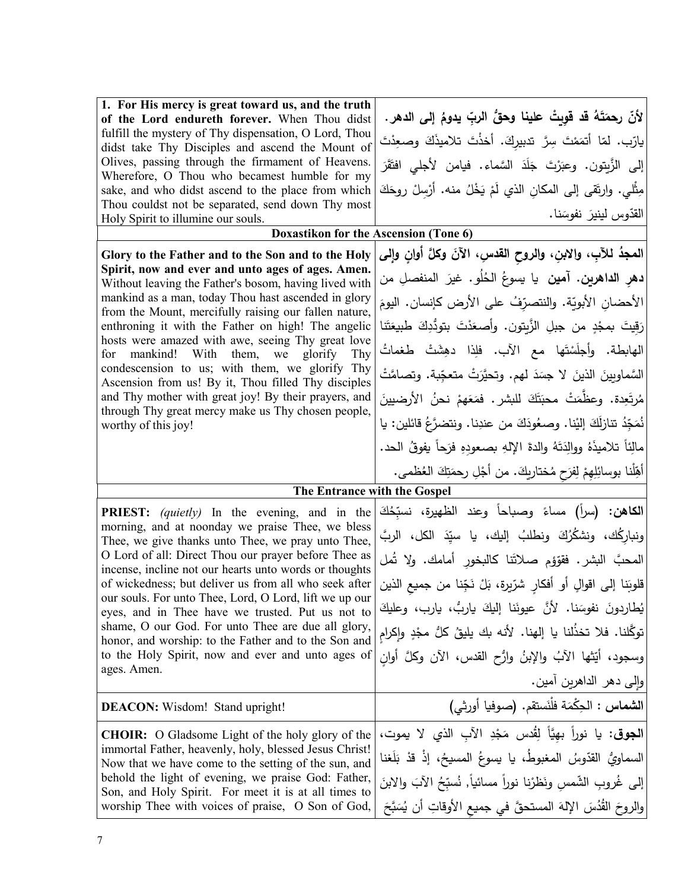| 1. For His mercy is great toward us, and the truth<br>of the Lord endureth forever. When Thou didst<br>fulfill the mystery of Thy dispensation, O Lord, Thou<br>didst take Thy Disciples and ascend the Mount of<br>Olives, passing through the firmament of Heavens.<br>Wherefore, O Thou who becamest humble for my<br>sake, and who didst ascend to the place from which<br>Thou couldst not be separated, send down Thy most<br>Holy Spirit to illumine our souls. | لأنّ رحمَتَهُ قد قوِيتْ علينا وحقُّ الربِّ يدومُ إلى الدهر.<br>يارّب. لمّا أتمَمْتَ سِرَّ تدبيركَ. أخذْتَ تلاميذَكَ وصعِدْتَ<br>إلى الزَّبِتون. وعبَرْتَ جَلَدَ السَّماء. فيامن لأجلى افتَقَرَ<br>مِثْلـى. وارتَقـى إلـى المكان الذي لَمْ يَخْلُ منه. أَرْسِلْ روحَكَ<br>القدّوس لينيرَ نفوسَنا. |
|------------------------------------------------------------------------------------------------------------------------------------------------------------------------------------------------------------------------------------------------------------------------------------------------------------------------------------------------------------------------------------------------------------------------------------------------------------------------|--------------------------------------------------------------------------------------------------------------------------------------------------------------------------------------------------------------------------------------------------------------------------------------------------|
| Doxastikon for the Ascension (Tone 6)                                                                                                                                                                                                                                                                                                                                                                                                                                  |                                                                                                                                                                                                                                                                                                  |
| Glory to the Father and to the Son and to the Holy                                                                                                                                                                                                                                                                                                                                                                                                                     | المعجدُ للآبِ، وإلابنِ، والروح القدسِ، الآنَ وكلَّ أوانِ وإلى                                                                                                                                                                                                                                    |
| Spirit, now and ever and unto ages of ages. Amen.<br>Without leaving the Father's bosom, having lived with<br>mankind as a man, today Thou hast ascended in glory                                                                                                                                                                                                                                                                                                      | <b>دهر الداهرين. آمين</b> يا يسوعُ الحُلُو. غيرَ المنفصلِ من<br>الأحضان الأبويّة. والنتصرّفُ على الأرض كإنسان. اليومَ                                                                                                                                                                            |
| from the Mount, mercifully raising our fallen nature,<br>enthroning it with the Father on high! The angelic                                                                                                                                                                                                                                                                                                                                                            | رَقِيتَ بمجْدٍ من جبلِ الزَّيتونِ. وأصعَدْتَ بتودُّدِكَ طبيعَتَنا                                                                                                                                                                                                                                |
| hosts were amazed with awe, seeing Thy great love<br>mankind! With them, we<br>for<br>glorify<br>Thy                                                                                                                                                                                                                                                                                                                                                                   | الهابطة. وأجلَسْتَها مع الآب. فلِذا دهِشَتْ طغماتُ                                                                                                                                                                                                                                               |
| condescension to us; with them, we glorify Thy<br>Ascension from us! By it, Thou filled Thy disciples                                                                                                                                                                                                                                                                                                                                                                  | السَّماويِينَ الذينَ لا جسَدَ لهم. وتحيَّرَتْ متعجِّبة. وتصامَّتْ                                                                                                                                                                                                                                |
| and Thy mother with great joy! By their prayers, and<br>through Thy great mercy make us Thy chosen people,                                                                                                                                                                                                                                                                                                                                                             | مُرتَعِدة. وعظَّمَتْ محبَتَكَ للبشر. فمَعَهمْ نحنُ الأرضيينَ                                                                                                                                                                                                                                     |
| worthy of this joy!                                                                                                                                                                                                                                                                                                                                                                                                                                                    | نُمَجِّدُ تنازلَكَ إليْنا. وصعُودَكَ من عندِنا. ونتضرَّعُ قائلين: يا                                                                                                                                                                                                                             |
|                                                                                                                                                                                                                                                                                                                                                                                                                                                                        | مالئاً تلاميذَهُ ووالِدَتَهُ والدةَ اﻹلهِ بصعودهِ فرَحاً يفوقُ الحد.                                                                                                                                                                                                                             |
|                                                                                                                                                                                                                                                                                                                                                                                                                                                                        | أَهِّلْنا بوسائِلِهِمْ لِفرَحٍ مُختارِيكَ. من أَجْلِ رحمَتِكَ العُظمى.                                                                                                                                                                                                                           |
| The Entrance with the Gospel                                                                                                                                                                                                                                                                                                                                                                                                                                           |                                                                                                                                                                                                                                                                                                  |
| <b>PRIEST:</b> <i>(quietly)</i> In the evening, and in the<br>morning, and at noonday we praise Thee, we bless<br>Thee, we give thanks unto Thee, we pray unto Thee,                                                                                                                                                                                                                                                                                                   | ا <b>لكاهن: (</b> سراً) مساءً وصباحاً وعند الظهيرة، نسبِّحُكَ<br>ونبارِكُك، ونشكُرُكَ ونطلبُ إليك، يا سيِّدَ الكل، الربَّ                                                                                                                                                                        |
| O Lord of all: Direct Thou our prayer before Thee as<br>incense, incline not our hearts unto words or thoughts                                                                                                                                                                                                                                                                                                                                                         | المحبَّ البشر. فقوَّفِم صلاتَنا كالبخور أمامك. ولا تُمل                                                                                                                                                                                                                                          |
| of wickedness; but deliver us from all who seek after<br>our souls. For unto Thee, Lord, O Lord, lift we up our                                                                                                                                                                                                                                                                                                                                                        | قلوبَنا إلى اقوالٍ أو أفكارٍ شرّيرة، بَلْ نَجِّنا من جميع الذين                                                                                                                                                                                                                                  |
| eyes, and in Thee have we trusted. Put us not to                                                                                                                                                                                                                                                                                                                                                                                                                       | يُطاردونَ نفوسَنا. لأنَّ عيونَنا إليكَ ياربُّ، يارب، وعليكَ                                                                                                                                                                                                                                      |
| shame, O our God. For unto Thee are due all glory,<br>honor, and worship: to the Father and to the Son and                                                                                                                                                                                                                                                                                                                                                             | توكَّلنا. فلا تخذُلنا يا إلهنا. لأنه بك يليقُ كلُّ مجْدٍ وإكرامِ                                                                                                                                                                                                                                 |
| to the Holy Spirit, now and ever and unto ages of<br>ages. Amen.                                                                                                                                                                                                                                                                                                                                                                                                       | وسجود، أَيَتْها الآبُ والإِبنُ وارُحِ القدسِ، الآنِ وكلَّ أُوان                                                                                                                                                                                                                                  |
|                                                                                                                                                                                                                                                                                                                                                                                                                                                                        | وإلىي دهر الداهرين أمين.                                                                                                                                                                                                                                                                         |
| <b>DEACON:</b> Wisdom! Stand upright!                                                                                                                                                                                                                                                                                                                                                                                                                                  | الشماس : الحِكْمَة فلْنَستقم. (صوفيا أورثي)                                                                                                                                                                                                                                                      |
| <b>CHOIR:</b> O Gladsome Light of the holy glory of the                                                                                                                                                                                                                                                                                                                                                                                                                | ا <b>لجوق</b> : يا نوراً بهيَّاً لِقُدس مَجْدِ الآبِ الذي لا يموت،                                                                                                                                                                                                                               |
| immortal Father, heavenly, holy, blessed Jesus Christ!<br>Now that we have come to the setting of the sun, and                                                                                                                                                                                                                                                                                                                                                         | السماويُّ القدّوسُ المغبوطُ، يا يسوعُ المسيحُ، إذْ قدْ بَلَغنا                                                                                                                                                                                                                                   |
| behold the light of evening, we praise God: Father,<br>Son, and Holy Spirit. For meet it is at all times to                                                                                                                                                                                                                                                                                                                                                            | إلى غُروبِ الشَّمسِ ونَظرْنا نوراً مسائياً, نُسبِّحُ الآبَ والابنَ                                                                                                                                                                                                                               |
| worship Thee with voices of praise, O Son of God,                                                                                                                                                                                                                                                                                                                                                                                                                      | والروحَ القُدُسَ الإِلهَ المستحقَّ في جميع الأوقاتِ أن يُسَبَّحَ                                                                                                                                                                                                                                 |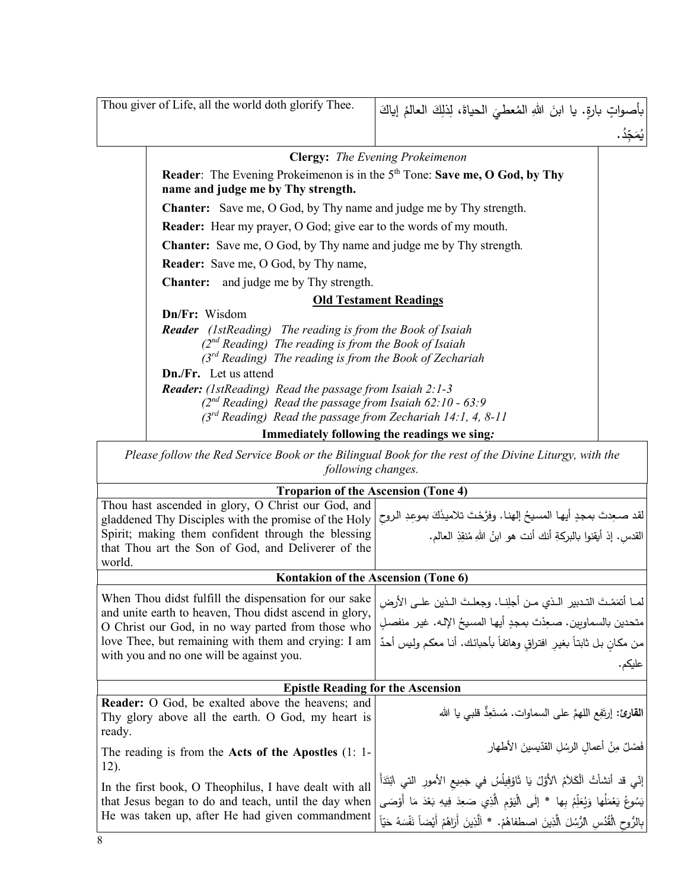| Thou giver of Life, all the world doth glorify Thee.                                                                                | بأصواتٍ بارةٍ. يا ابنَ اللهِ المُعطيَ الحياةَ، لِذلِكَ العالمُ إياكَ |
|-------------------------------------------------------------------------------------------------------------------------------------|----------------------------------------------------------------------|
|                                                                                                                                     |                                                                      |
|                                                                                                                                     | <b>Clergy:</b> The Evening Prokeimenon                               |
| <b>Reader:</b> The Evening Prokeimenon is in the 5 <sup>th</sup> Tone: Save me, O God, by Thy<br>name and judge me by Thy strength. |                                                                      |
| <b>Chanter:</b> Save me, O God, by Thy name and judge me by Thy strength.                                                           |                                                                      |
| <b>Reader:</b> Hear my prayer, O God; give ear to the words of my mouth.                                                            |                                                                      |
| <b>Chanter:</b> Save me, O God, by Thy name and judge me by Thy strength.                                                           |                                                                      |
| <b>Reader:</b> Save me, O God, by Thy name,                                                                                         |                                                                      |
| <b>Chanter:</b> and judge me by Thy strength.                                                                                       |                                                                      |
|                                                                                                                                     | <b>Old Testament Readings</b>                                        |
| Dn/Fr: Wisdom                                                                                                                       |                                                                      |
| <b>Reader</b> (1stReading) The reading is from the Book of Isaiah                                                                   |                                                                      |
| $(2^{nd}$ Reading) The reading is from the Book of Isaiah                                                                           |                                                                      |
| (3 <sup>rd</sup> Reading) The reading is from the Book of Zechariah                                                                 |                                                                      |
| <b>Dn./Fr.</b> Let us attend                                                                                                        |                                                                      |
| <b>Reader:</b> (1stReading) Read the passage from Isaiah 2:1-3                                                                      |                                                                      |
| $(2^{nd}$ Reading) Read the passage from Isaiah 62:10 - 63:9                                                                        |                                                                      |
| $(3rd Reading)$ Read the passage from Zechariah 14:1, 4, 8-11                                                                       |                                                                      |
|                                                                                                                                     | Immediately following the readings we sing:                          |
| Please follow the Red Service Book or the Bilingual Book for the rest of the Divine Liturgy, with the<br>following changes.         |                                                                      |

| <b>Troparion of the Ascension (Tone 4)</b>                                                                      |                                                                                                    |  |
|-----------------------------------------------------------------------------------------------------------------|----------------------------------------------------------------------------------------------------|--|
| Thou hast ascended in glory, O Christ our God, and<br>gladdened Thy Disciples with the promise of the Holy      | لقد صعِدتَ بمجدٍ أيها المسيحُ إلهنا. وفرَّحْتَ تلاميذَكَ بموعِدِ الروحِ                            |  |
| Spirit; making them confident through the blessing<br>that Thou art the Son of God, and Deliverer of the        | القدس. إذ أيقنوا بالبركةِ أنك أنت هو ابنُ اللهِ مُنقِذِ العالم.                                    |  |
| world.                                                                                                          |                                                                                                    |  |
| Kontakion of the Ascension (Tone 6)                                                                             |                                                                                                    |  |
| When Thou didst fulfill the dispensation for our sake<br>and unite earth to heaven, Thou didst ascend in glory, | لمـا أتمَمْتَ التـدبير الـذي مـن أجلِنـا. وجعلـتَ الـذين علـى الأرضِ                               |  |
| O Christ our God, in no way parted from those who                                                               | متحدين بالسماويين. صـعِدْتَ بمجدٍ أيها المسيحُ الإلـه. غير منفصلٍ                                  |  |
| love Thee, but remaining with them and crying: I am<br>with you and no one will be against you.                 | من مكانٍ بل ثابتاً بغيرِ افتراقٍ وهانفاً بأحبائك. أنـا معكم ولـيس أحدٌ                             |  |
|                                                                                                                 | عليكم.                                                                                             |  |
| <b>Epistle Reading for the Ascension</b>                                                                        |                                                                                                    |  |
| Reader: O God, be exalted above the heavens; and<br>Thy glory above all the earth. O God, my heart is<br>ready. | ا <b>لقارئ:</b> إرتَفِع اللهمَّ على السماوات. مُستَعِدٌّ قلبي يا الله                              |  |
| The reading is from the Acts of the Apostles $(1: 1$ -<br>12).                                                  | فَصْلٌ مِنْ أَعمالِ الرسُلِ القدّيسينَ الأطهار                                                     |  |
| In the first book, O Theophilus, I have dealt with all                                                          | إنّي قد أنشأتُ ٱلْكَلاَمُ الأَوَّلُ يَا تَاوُفِيلُسُ في جَمِيعِ الأَمورِ التي ابْتَدَأَ            |  |
| that Jesus began to do and teach, until the day when                                                            | يَسُوعُ يَعْمَلُها وَيُعَلِّمُ بِها * إِلَى الْيَوْمِ الَّذِي صَعِدَ فِيهِ بَعْدَ مَا أَوْصَى      |  |
| He was taken up, after He had given commandment                                                                 | بِالرُّوحِ الْقُدُسِ الرُّسُلَ الَّذِينَ اصطفاهُمْ. * اَلَّذِينَ أَرَاهُمْ أَيْضاً نَفْسَهُ حَيّاً |  |